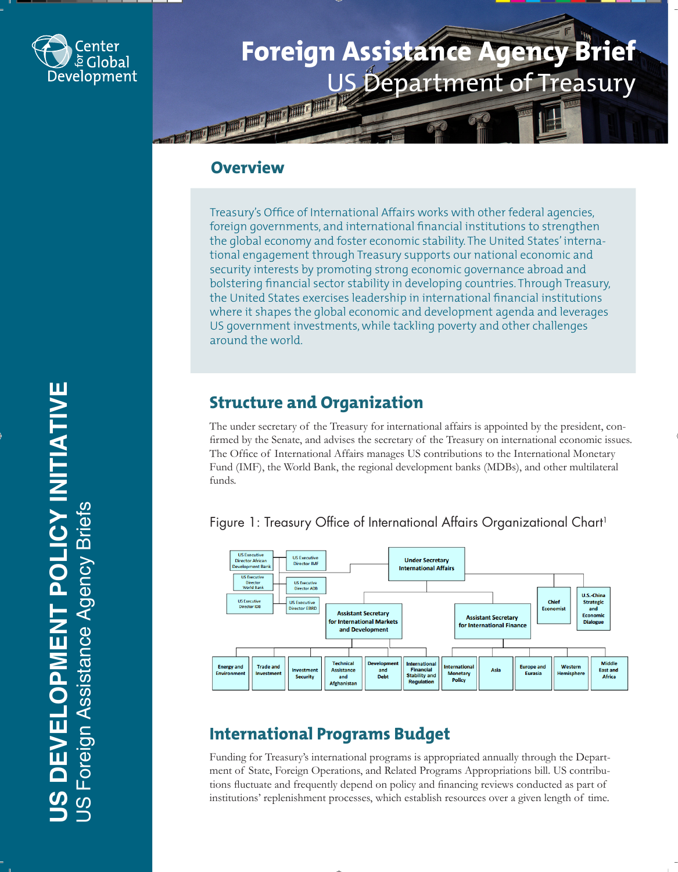

# **Foreign Assistance Agency Brief** US Department of Treasury

## **Overview**

Treasury's Office of International Affairs works with other federal agencies, foreign governments, and international financial institutions to strengthen the global economy and foster economic stability. The United States' international engagement through Treasury supports our national economic and security interests by promoting strong economic governance abroad and bolstering financial sector stability in developing countries. Through Treasury, the United States exercises leadership in international financial institutions where it shapes the global economic and development agenda and leverages US government investments, while tackling poverty and other challenges around the world.

## **Structure and Organization**

The under secretary of the Treasury for international affairs is appointed by the president, confirmed by the Senate, and advises the secretary of the Treasury on international economic issues. The Office of International Affairs manages US contributions to the International Monetary Fund (IMF), the World Bank, the regional development banks (MDBs), and other multilateral funds.



#### Figure 1: Treasury Office of International Affairs Organizational Chart<sup>1</sup>

## **International Programs Budget**

Funding for Treasury's international programs is appropriated annually through the Department of State, Foreign Operations, and Related Programs Appropriations bill. US contributions fluctuate and frequently depend on policy and financing reviews conducted as part of institutions' replenishment processes, which establish resources over a given length of time.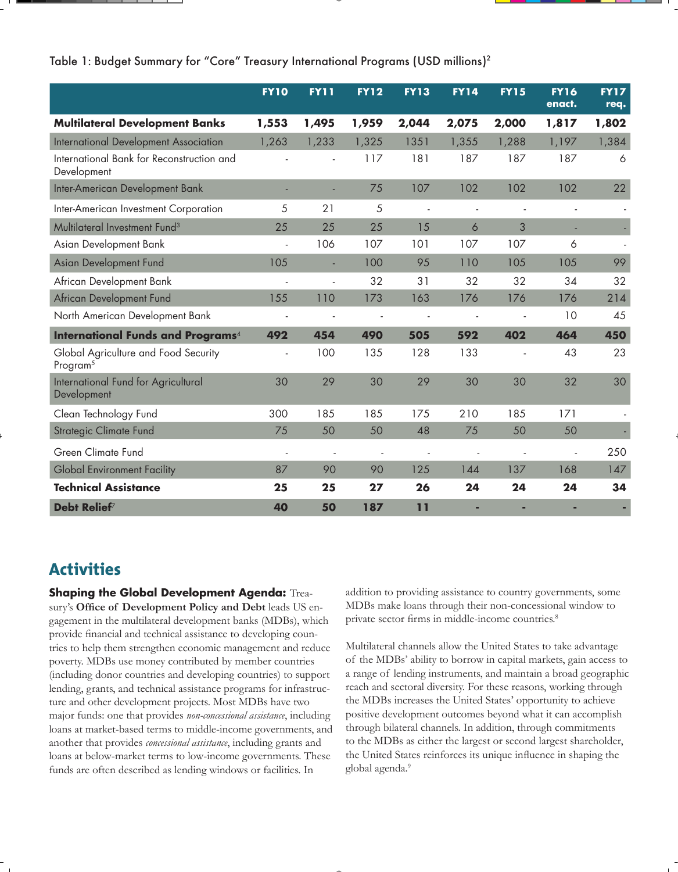#### Table 1: Budget Summary for "Core" Treasury International Programs (USD millions)2

|                                                              | <b>FY10</b>    | <b>FY11</b>              | <b>FY12</b> | <b>FY13</b>              | <b>FY14</b>              | <b>FY15</b> | <b>FY16</b><br>enact.    | <b>FY17</b><br>req. |
|--------------------------------------------------------------|----------------|--------------------------|-------------|--------------------------|--------------------------|-------------|--------------------------|---------------------|
| <b>Multilateral Development Banks</b>                        | 1,553          | 1,495                    | 1,959       | 2,044                    | 2,075                    | 2,000       | 1,817                    | 1,802               |
| International Development Association                        | 1,263          | 1,233                    | 1,325       | 1351                     | 1,355                    | 1,288       | 1,197                    | 1,384               |
| International Bank for Reconstruction and<br>Development     |                |                          | 117         | 181                      | 187                      | 187         | 187                      | 6                   |
| Inter-American Development Bank                              |                |                          | 75          | 107                      | 102                      | 102         | 102                      | 22                  |
| Inter-American Investment Corporation                        | 5              | 21                       | 5           | $\overline{\phantom{a}}$ | $\overline{\phantom{a}}$ | ÷,          | $\overline{\phantom{a}}$ |                     |
| Multilateral Investment Fund <sup>3</sup>                    | 25             | 25                       | 25          | 15                       | 6                        | 3           |                          |                     |
| Asian Development Bank                                       | ÷,             | 106                      | 107         | 101                      | 107                      | 107         | 6                        |                     |
| Asian Development Fund                                       | 105            | L.                       | 100         | 95                       | 110                      | 105         | 105                      | 99                  |
| African Development Bank                                     |                | $\overline{a}$           | 32          | 31                       | 32                       | 32          | 34                       | 32                  |
| African Development Fund                                     | 155            | 110                      | 173         | 163                      | 176                      | 176         | 176                      | 214                 |
| North American Development Bank                              |                | $\overline{\phantom{a}}$ | ÷,          | $\overline{\phantom{a}}$ | $\blacksquare$           | ÷,          | 10                       | 45                  |
| <b>International Funds and Programs</b> <sup>4</sup>         | 492            | 454                      | 490         | 505                      | 592                      | 402         | 464                      | 450                 |
| Global Agriculture and Food Security<br>Program <sup>5</sup> | $\overline{a}$ | 100                      | 135         | 128                      | 133                      |             | 43                       | 23                  |
| International Fund for Agricultural<br>Development           | 30             | 29                       | 30          | 29                       | 30                       | 30          | 32                       | 30                  |
| Clean Technology Fund                                        | 300            | 185                      | 185         | 175                      | 210                      | 185         | 171                      |                     |
| Strategic Climate Fund                                       | 75             | 50                       | 50          | 48                       | 75                       | 50          | 50                       |                     |
| Green Climate Fund                                           | ÷,             | $\bar{a}$                | $\sim$      | $\blacksquare$           | ÷,                       |             | ÷,                       | 250                 |
| <b>Global Environment Facility</b>                           | 87             | 90                       | 90          | 125                      | 144                      | 137         | 168                      | 147                 |
| <b>Technical Assistance</b>                                  | 25             | 25                       | 27          | 26                       | 24                       | 24          | 24                       | 34                  |
| Debt Relief <sup>7</sup>                                     | 40             | 50                       | 187         | 11                       |                          |             |                          |                     |

### **Activities**

**Shaping the Global Development Agenda:** Treasury's **Office of Development Policy and Debt** leads US engagement in the multilateral development banks (MDBs), which provide financial and technical assistance to developing countries to help them strengthen economic management and reduce poverty. MDBs use money contributed by member countries (including donor countries and developing countries) to support lending, grants, and technical assistance programs for infrastructure and other development projects. Most MDBs have two major funds: one that provides *non-concessional assistance*, including loans at market-based terms to middle-income governments, and another that provides *concessional assistance*, including grants and loans at below-market terms to low-income governments. These funds are often described as lending windows or facilities. In

addition to providing assistance to country governments, some MDBs make loans through their non-concessional window to private sector firms in middle-income countries.<sup>8</sup>

Multilateral channels allow the United States to take advantage of the MDBs' ability to borrow in capital markets, gain access to a range of lending instruments, and maintain a broad geographic reach and sectoral diversity. For these reasons, working through the MDBs increases the United States' opportunity to achieve positive development outcomes beyond what it can accomplish through bilateral channels. In addition, through commitments to the MDBs as either the largest or second largest shareholder, the United States reinforces its unique influence in shaping the global agenda.<sup>9</sup>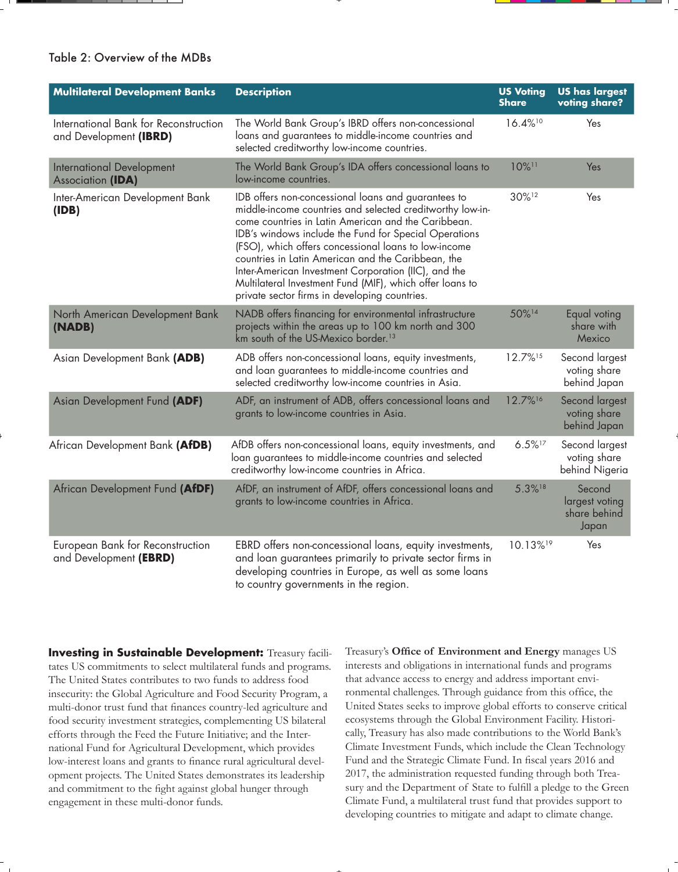#### Table 2: Overview of the MDBs

| <b>Multilateral Development Banks</b>                           | <b>Description</b>                                                                                                                                                                                                                                                                                                                                                                                                                                                                                                  | <b>US Voting</b><br><b>Share</b> | <b>US has largest</b><br>voting share?            |
|-----------------------------------------------------------------|---------------------------------------------------------------------------------------------------------------------------------------------------------------------------------------------------------------------------------------------------------------------------------------------------------------------------------------------------------------------------------------------------------------------------------------------------------------------------------------------------------------------|----------------------------------|---------------------------------------------------|
| International Bank for Reconstruction<br>and Development (IBRD) | The World Bank Group's IBRD offers non-concessional<br>loans and guarantees to middle-income countries and<br>selected creditworthy low-income countries.                                                                                                                                                                                                                                                                                                                                                           | 16.4%10                          | Yes                                               |
| <b>International Development</b><br>Association (IDA)           | The World Bank Group's IDA offers concessional loans to<br>low-income countries.                                                                                                                                                                                                                                                                                                                                                                                                                                    | 10%11                            | Yes                                               |
| Inter-American Development Bank<br>(IDB)                        | IDB offers non-concessional loans and guarantees to<br>middle-income countries and selected creditworthy low-in-<br>come countries in Latin American and the Caribbean.<br>IDB's windows include the Fund for Special Operations<br>(FSO), which offers concessional loans to low-income<br>countries in Latin American and the Caribbean, the<br>Inter-American Investment Corporation (IIC), and the<br>Multilateral Investment Fund (MIF), which offer loans to<br>private sector firms in developing countries. | 30%12                            | Yes                                               |
| North American Development Bank<br>(NADB)                       | NADB offers financing for environmental infrastructure<br>projects within the areas up to 100 km north and 300<br>km south of the US-Mexico border. <sup>13</sup>                                                                                                                                                                                                                                                                                                                                                   | 50%14                            | Equal voting<br>share with<br>Mexico              |
| Asian Development Bank (ADB)                                    | ADB offers non-concessional loans, equity investments,<br>and loan guarantees to middle-income countries and<br>selected creditworthy low-income countries in Asia.                                                                                                                                                                                                                                                                                                                                                 | 12.7%15                          | Second largest<br>voting share<br>behind Japan    |
| Asian Development Fund (ADF)                                    | ADF, an instrument of ADB, offers concessional loans and<br>grants to low-income countries in Asia.                                                                                                                                                                                                                                                                                                                                                                                                                 | 12.7%16                          | Second largest<br>voting share<br>behind Japan    |
| African Development Bank (AfDB)                                 | AfDB offers non-concessional loans, equity investments, and<br>loan guarantees to middle-income countries and selected<br>creditworthy low-income countries in Africa.                                                                                                                                                                                                                                                                                                                                              | $6.5\%$ <sup>17</sup>            | Second largest<br>voting share<br>behind Nigeria  |
| African Development Fund (AfDF)                                 | AfDF, an instrument of AfDF, offers concessional loans and<br>grants to low-income countries in Africa.                                                                                                                                                                                                                                                                                                                                                                                                             | 5.3%18                           | Second<br>largest voting<br>share behind<br>Japan |
| European Bank for Reconstruction<br>and Development (EBRD)      | EBRD offers non-concessional loans, equity investments,<br>and loan guarantees primarily to private sector firms in<br>developing countries in Europe, as well as some loans<br>to country governments in the region.                                                                                                                                                                                                                                                                                               | 10.13% <sup>19</sup>             | Yes                                               |

**Investing in Sustainable Development:** Treasury facilitates US commitments to select multilateral funds and programs. The United States contributes to two funds to address food insecurity: the Global Agriculture and Food Security Program, a multi-donor trust fund that finances country-led agriculture and food security investment strategies, complementing US bilateral efforts through the Feed the Future Initiative; and the International Fund for Agricultural Development, which provides low-interest loans and grants to finance rural agricultural development projects. The United States demonstrates its leadership and commitment to the fight against global hunger through engagement in these multi-donor funds.

Treasury's **Office of Environment and Energy** manages US interests and obligations in international funds and programs that advance access to energy and address important environmental challenges. Through guidance from this office, the United States seeks to improve global efforts to conserve critical ecosystems through the Global Environment Facility. Historically, Treasury has also made contributions to the World Bank's Climate Investment Funds, which include the Clean Technology Fund and the Strategic Climate Fund. In fiscal years 2016 and 2017, the administration requested funding through both Treasury and the Department of State to fulfill a pledge to the Green Climate Fund, a multilateral trust fund that provides support to developing countries to mitigate and adapt to climate change.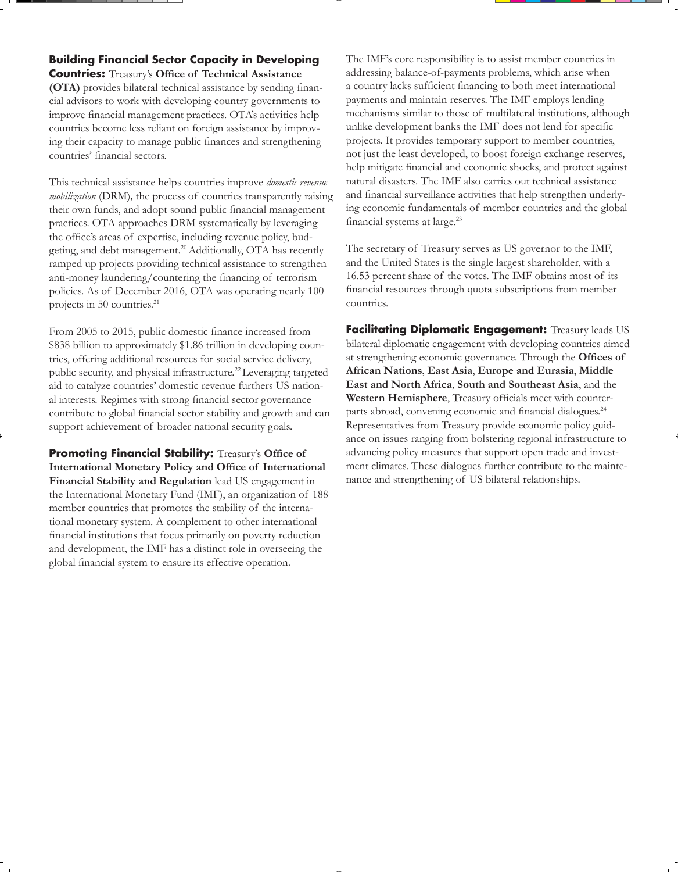#### **Building Financial Sector Capacity in Developing**

**Countries:** Treasury's **Office of Technical Assistance (OTA)** provides bilateral technical assistance by sending financial advisors to work with developing country governments to improve financial management practices. OTA's activities help countries become less reliant on foreign assistance by improving their capacity to manage public finances and strengthening countries' financial sectors.

This technical assistance helps countries improve *domestic revenue mobilization* (DRM)*,* the process of countries transparently raising their own funds, and adopt sound public financial management practices. OTA approaches DRM systematically by leveraging the office's areas of expertise, including revenue policy, budgeting, and debt management.<sup>20</sup> Additionally, OTA has recently ramped up projects providing technical assistance to strengthen anti-money laundering/countering the financing of terrorism policies. As of December 2016, OTA was operating nearly 100 projects in 50 countries.<sup>21</sup>

From 2005 to 2015, public domestic finance increased from \$838 billion to approximately \$1.86 trillion in developing countries, offering additional resources for social service delivery, public security, and physical infrastructure.<sup>22</sup> Leveraging targeted aid to catalyze countries' domestic revenue furthers US national interests. Regimes with strong financial sector governance contribute to global financial sector stability and growth and can support achievement of broader national security goals.

**Promoting Financial Stability:** Treasury's **Office of International Monetary Policy and Office of International Financial Stability and Regulation** lead US engagement in the International Monetary Fund (IMF), an organization of 188 member countries that promotes the stability of the international monetary system. A complement to other international financial institutions that focus primarily on poverty reduction and development, the IMF has a distinct role in overseeing the global financial system to ensure its effective operation.

The IMF's core responsibility is to assist member countries in addressing balance-of-payments problems, which arise when a country lacks sufficient financing to both meet international payments and maintain reserves. The IMF employs lending mechanisms similar to those of multilateral institutions, although unlike development banks the IMF does not lend for specific projects. It provides temporary support to member countries, not just the least developed, to boost foreign exchange reserves, help mitigate financial and economic shocks, and protect against natural disasters. The IMF also carries out technical assistance and financial surveillance activities that help strengthen underlying economic fundamentals of member countries and the global financial systems at large.23

The secretary of Treasury serves as US governor to the IMF, and the United States is the single largest shareholder, with a 16.53 percent share of the votes. The IMF obtains most of its financial resources through quota subscriptions from member countries.

**Facilitating Diplomatic Engagement:** Treasury leads US bilateral diplomatic engagement with developing countries aimed at strengthening economic governance. Through the **Offices of African Nations**, **East Asia**, **Europe and Eurasia**, **Middle East and North Africa**, **South and Southeast Asia**, and the **Western Hemisphere**, Treasury officials meet with counterparts abroad, convening economic and financial dialogues.<sup>24</sup> Representatives from Treasury provide economic policy guidance on issues ranging from bolstering regional infrastructure to advancing policy measures that support open trade and investment climates. These dialogues further contribute to the maintenance and strengthening of US bilateral relationships.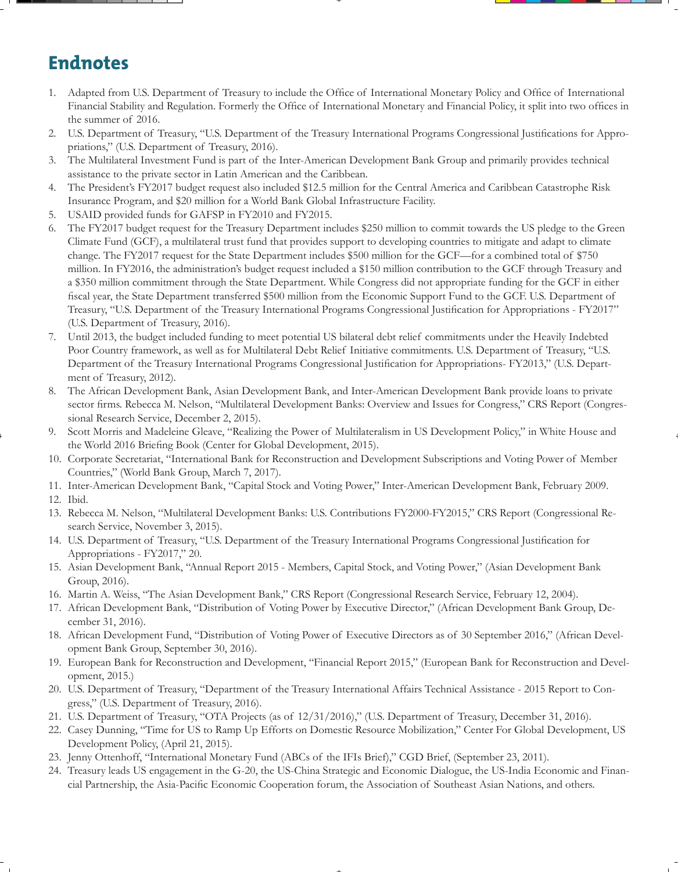# **Endnotes**

- 1. Adapted from U.S. Department of Treasury to include the Office of International Monetary Policy and Office of International Financial Stability and Regulation. Formerly the Office of International Monetary and Financial Policy, it split into two offices in the summer of 2016.
- 2. U.S. Department of Treasury, "U.S. Department of the Treasury International Programs Congressional Justifications for Appropriations," (U.S. Department of Treasury, 2016).
- 3. The Multilateral Investment Fund is part of the Inter-American Development Bank Group and primarily provides technical assistance to the private sector in Latin American and the Caribbean.
- 4. The President's FY2017 budget request also included \$12.5 million for the Central America and Caribbean Catastrophe Risk Insurance Program, and \$20 million for a World Bank Global Infrastructure Facility.
- 5. USAID provided funds for GAFSP in FY2010 and FY2015.
- 6. The FY2017 budget request for the Treasury Department includes \$250 million to commit towards the US pledge to the Green Climate Fund (GCF), a multilateral trust fund that provides support to developing countries to mitigate and adapt to climate change. The FY2017 request for the State Department includes \$500 million for the GCF—for a combined total of \$750 million. In FY2016, the administration's budget request included a \$150 million contribution to the GCF through Treasury and a \$350 million commitment through the State Department. While Congress did not appropriate funding for the GCF in either fiscal year, the State Department transferred \$500 million from the Economic Support Fund to the GCF. U.S. Department of Treasury, "U.S. Department of the Treasury International Programs Congressional Justification for Appropriations - FY2017" (U.S. Department of Treasury, 2016).
- 7. Until 2013, the budget included funding to meet potential US bilateral debt relief commitments under the Heavily Indebted Poor Country framework, as well as for Multilateral Debt Relief Initiative commitments. U.S. Department of Treasury, "U.S. Department of the Treasury International Programs Congressional Justification for Appropriations- FY2013," (U.S. Department of Treasury, 2012).
- 8. The African Development Bank, Asian Development Bank, and Inter-American Development Bank provide loans to private sector firms. Rebecca M. Nelson, "Multilateral Development Banks: Overview and Issues for Congress," CRS Report (Congressional Research Service, December 2, 2015).
- 9. Scott Morris and Madeleine Gleave, "Realizing the Power of Multilateralism in US Development Policy," in White House and the World 2016 Briefing Book (Center for Global Development, 2015).
- 10. Corporate Secretariat, "International Bank for Reconstruction and Development Subscriptions and Voting Power of Member Countries," (World Bank Group, March 7, 2017).
- 11. Inter-American Development Bank, "Capital Stock and Voting Power," Inter-American Development Bank, February 2009.
- 12. Ibid.
- 13. Rebecca M. Nelson, "Multilateral Development Banks: U.S. Contributions FY2000-FY2015," CRS Report (Congressional Research Service, November 3, 2015).
- 14. U.S. Department of Treasury, "U.S. Department of the Treasury International Programs Congressional Justification for Appropriations - FY2017," 20.
- 15. Asian Development Bank, "Annual Report 2015 Members, Capital Stock, and Voting Power," (Asian Development Bank Group, 2016).
- 16. Martin A. Weiss, "The Asian Development Bank," CRS Report (Congressional Research Service, February 12, 2004).
- 17. African Development Bank, "Distribution of Voting Power by Executive Director," (African Development Bank Group, December 31, 2016).
- 18. African Development Fund, "Distribution of Voting Power of Executive Directors as of 30 September 2016," (African Development Bank Group, September 30, 2016).
- 19. European Bank for Reconstruction and Development, "Financial Report 2015," (European Bank for Reconstruction and Development, 2015.)
- 20. U.S. Department of Treasury, "Department of the Treasury International Affairs Technical Assistance 2015 Report to Congress," (U.S. Department of Treasury, 2016).
- 21. U.S. Department of Treasury, "OTA Projects (as of 12/31/2016)," (U.S. Department of Treasury, December 31, 2016).
- 22. Casey Dunning, "Time for US to Ramp Up Efforts on Domestic Resource Mobilization," Center For Global Development, US Development Policy, (April 21, 2015).
- 23. Jenny Ottenhoff, "International Monetary Fund (ABCs of the IFIs Brief)," CGD Brief, (September 23, 2011).
- 24. Treasury leads US engagement in the G-20, the US-China Strategic and Economic Dialogue, the US-India Economic and Financial Partnership, the Asia-Pacific Economic Cooperation forum, the Association of Southeast Asian Nations, and others.